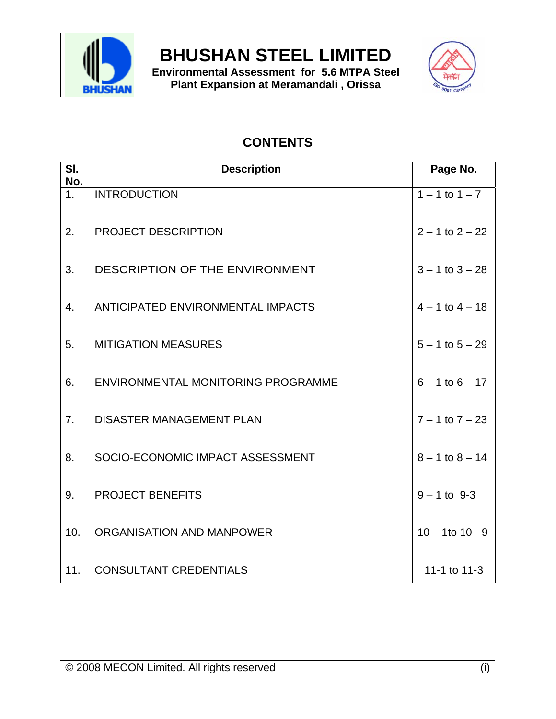

**Environmental Assessment for 5.6 MTPA Steel Plant Expansion at Meramandali , Orissa**



## **CONTENTS**

| SI.<br>No.       | <b>Description</b>                 | Page No.             |
|------------------|------------------------------------|----------------------|
| $\overline{1}$ . | <b>INTRODUCTION</b>                | $1 - 1$ to $1 - 7$   |
| 2.               | PROJECT DESCRIPTION                | $2 - 1$ to $2 - 22$  |
| 3.               | DESCRIPTION OF THE ENVIRONMENT     | $3 - 1$ to $3 - 28$  |
| $\overline{4}$ . | ANTICIPATED ENVIRONMENTAL IMPACTS  | $4 - 1$ to $4 - 18$  |
| 5.               | <b>MITIGATION MEASURES</b>         | $5 - 1$ to $5 - 29$  |
| 6.               | ENVIRONMENTAL MONITORING PROGRAMME | $6 - 1$ to $6 - 17$  |
| 7.               | <b>DISASTER MANAGEMENT PLAN</b>    | $7 - 1$ to $7 - 23$  |
| 8.               | SOCIO-ECONOMIC IMPACT ASSESSMENT   | $8 - 1$ to $8 - 14$  |
| 9.               | <b>PROJECT BENEFITS</b>            | $9 - 1$ to 9-3       |
| 10.              | ORGANISATION AND MANPOWER          | $10 - 1$ to $10 - 9$ |
| 11.              | <b>CONSULTANT CREDENTIALS</b>      | 11-1 to 11-3         |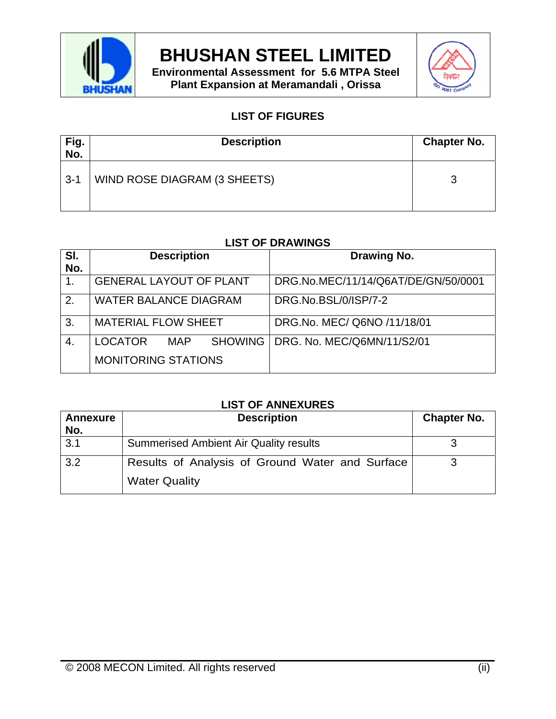

**Environmental Assessment for 5.6 MTPA Steel Plant Expansion at Meramandali , Orissa**



### **LIST OF FIGURES**

| Fig.<br>No. | <b>Description</b>           | <b>Chapter No.</b> |
|-------------|------------------------------|--------------------|
| $3 - 1$     | WIND ROSE DIAGRAM (3 SHEETS) | 2<br>w             |

### **LIST OF DRAWINGS**

| SI.          | <b>Description</b>                 | Drawing No.                         |
|--------------|------------------------------------|-------------------------------------|
| No.          |                                    |                                     |
| 1.           | <b>GENERAL LAYOUT OF PLANT</b>     | DRG.No.MEC/11/14/Q6AT/DE/GN/50/0001 |
| 2.           | <b>WATER BALANCE DIAGRAM</b>       | DRG.No.BSL/0/ISP/7-2                |
| $\mathbf{3}$ | <b>MATERIAL FLOW SHEET</b>         | DRG.No. MEC/ Q6NO /11/18/01         |
| 4.           | SHOWING  <br><b>LOCATOR</b><br>MAP | DRG. No. MEC/Q6MN/11/S2/01          |
|              | <b>MONITORING STATIONS</b>         |                                     |

### **LIST OF ANNEXURES**

| <b>Annexure</b><br>No. | <b>Description</b>                                                      | <b>Chapter No.</b> |
|------------------------|-------------------------------------------------------------------------|--------------------|
| $\overline{3.1}$       | <b>Summerised Ambient Air Quality results</b>                           |                    |
| 3.2                    | Results of Analysis of Ground Water and Surface<br><b>Water Quality</b> |                    |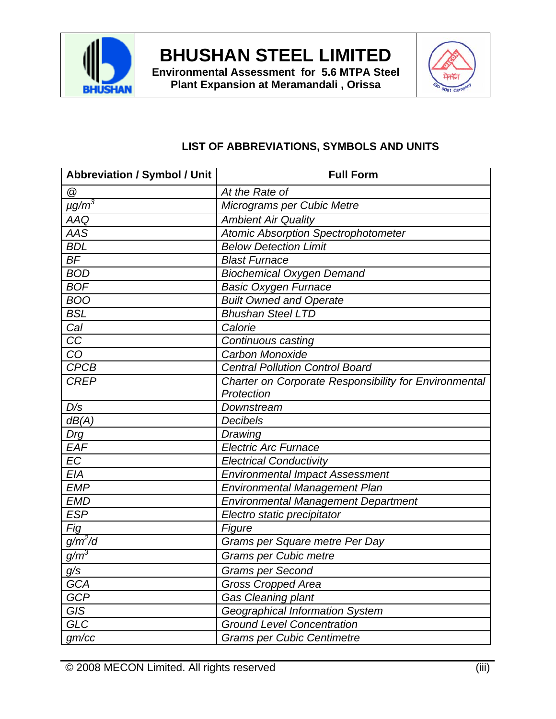

**Environmental Assessment for 5.6 MTPA Steel Plant Expansion at Meramandali , Orissa**



### **LIST OF ABBREVIATIONS, SYMBOLS AND UNITS**

| <b>Abbreviation / Symbol / Unit</b> | <b>Full Form</b>                                      |
|-------------------------------------|-------------------------------------------------------|
| @                                   | At the Rate of                                        |
| $\mu$ g/m $^3$                      | Micrograms per Cubic Metre                            |
| AAQ                                 | <b>Ambient Air Quality</b>                            |
| AAS                                 | Atomic Absorption Spectrophotometer                   |
| <b>BDL</b>                          | <b>Below Detection Limit</b>                          |
| <b>BF</b>                           | <b>Blast Furnace</b>                                  |
| <b>BOD</b>                          | <b>Biochemical Oxygen Demand</b>                      |
| <b>BOF</b>                          | <b>Basic Oxygen Furnace</b>                           |
| <b>BOO</b>                          | <b>Built Owned and Operate</b>                        |
| <b>BSL</b>                          | <b>Bhushan Steel LTD</b>                              |
| Cal                                 | Calorie                                               |
| CC                                  | Continuous casting                                    |
| CO                                  | Carbon Monoxide                                       |
| <b>CPCB</b>                         | <b>Central Pollution Control Board</b>                |
| <b>CREP</b>                         | Charter on Corporate Responsibility for Environmental |
|                                     | Protection                                            |
| D/s                                 | Downstream                                            |
| dB(A)                               | Decibels                                              |
| Drg                                 | Drawing                                               |
| EAF                                 | <b>Electric Arc Furnace</b>                           |
| <b>EC</b>                           | <b>Electrical Conductivity</b>                        |
| <b>EIA</b>                          | <b>Environmental Impact Assessment</b>                |
| <b>EMP</b>                          | <b>Environmental Management Plan</b>                  |
| <b>EMD</b>                          | Environmental Management Department                   |
| <b>ESP</b>                          | Electro static precipitator                           |
| Fig                                 | Figure                                                |
| $g/m^2/d$                           | Grams per Square metre Per Day                        |
| $g/m^3$                             | <b>Grams per Cubic metre</b>                          |
| g/s                                 | <b>Grams per Second</b>                               |
| <b>GCA</b>                          | <b>Gross Cropped Area</b>                             |
| <b>GCP</b>                          | Gas Cleaning plant                                    |
| <b>GIS</b>                          | Geographical Information System                       |
| <b>GLC</b>                          | <b>Ground Level Concentration</b>                     |
| gm/cc                               | <b>Grams per Cubic Centimetre</b>                     |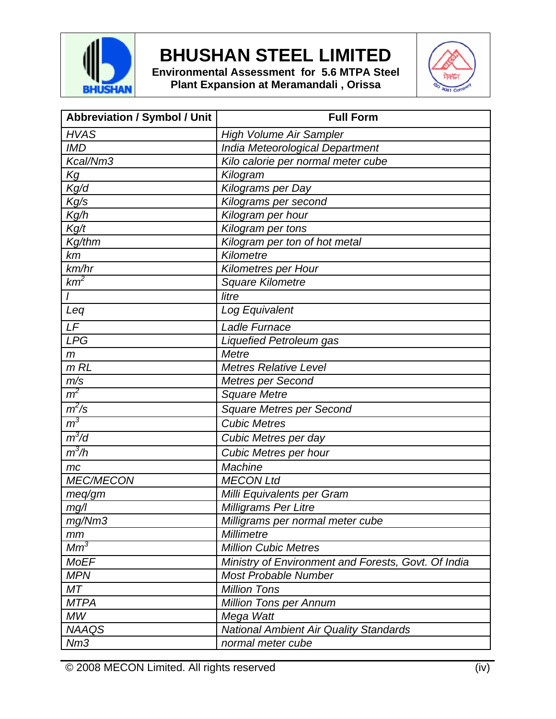

**Environmental Assessment for 5.6 MTPA Steel Plant Expansion at Meramandali , Orissa**



| <b>Abbreviation / Symbol / Unit</b> | <b>Full Form</b>                                    |
|-------------------------------------|-----------------------------------------------------|
| <b>HVAS</b>                         | <b>High Volume Air Sampler</b>                      |
| <b>IMD</b>                          | India Meteorological Department                     |
| Kcal/Nm3                            | Kilo calorie per normal meter cube                  |
| Kg                                  | Kilogram                                            |
| Kg/d                                | Kilograms per Day                                   |
| Kg/s                                | Kilograms per second                                |
| Kg/h                                | Kilogram per hour                                   |
| Kg/t                                | Kilogram per tons                                   |
| Kg/thm                              | Kilogram per ton of hot metal                       |
| km                                  | Kilometre                                           |
| km/hr                               | <b>Kilometres per Hour</b>                          |
| $km^2$                              | <b>Square Kilometre</b>                             |
|                                     | litre                                               |
| Leq                                 | Log Equivalent                                      |
| LF                                  | <b>Ladle Furnace</b>                                |
| <b>LPG</b>                          | Liquefied Petroleum gas                             |
| $\mathsf{m}$                        | Metre                                               |
| $m$ RL                              | <b>Metres Relative Level</b>                        |
| m/s                                 | Metres per Second                                   |
| m <sup>2</sup>                      | <b>Square Metre</b>                                 |
| $m^2/s$                             | <b>Square Metres per Second</b>                     |
| m <sup>3</sup>                      | <b>Cubic Metres</b>                                 |
| $m^3/d$                             | Cubic Metres per day                                |
| $m^3/h$                             | Cubic Metres per hour                               |
| mc                                  | Machine                                             |
| <b>MEC/MECON</b>                    | <b>MECON Ltd</b>                                    |
| meq/m                               | Milli Equivalents per Gram                          |
| mg/l                                | Milligrams Per Litre                                |
| mg/Nm3                              | Milligrams per normal meter cube                    |
| mm                                  | Millimetre                                          |
| $Mm^3$                              | <b>Million Cubic Metres</b>                         |
| <b>MoEF</b>                         | Ministry of Environment and Forests, Govt. Of India |
| <b>MPN</b>                          | <b>Most Probable Number</b>                         |
| МT                                  | <b>Million Tons</b>                                 |
| <b>MTPA</b>                         | <b>Million Tons per Annum</b>                       |
| MW                                  | Mega Watt                                           |
| <b>NAAQS</b>                        | <b>National Ambient Air Quality Standards</b>       |
| Nm3                                 | normal meter cube                                   |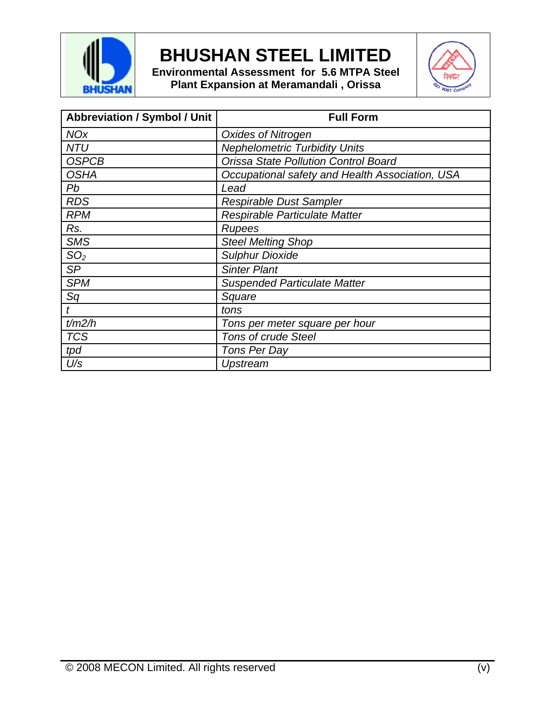

**Environmental Assessment for 5.6 MTPA Steel Plant Expansion at Meramandali , Orissa**



| <b>Abbreviation / Symbol / Unit</b> | <b>Full Form</b>                                |
|-------------------------------------|-------------------------------------------------|
| <b>NOx</b>                          | <b>Oxides of Nitrogen</b>                       |
| <b>NTU</b>                          | <b>Nephelometric Turbidity Units</b>            |
| <b>OSPCB</b>                        | <b>Orissa State Pollution Control Board</b>     |
| <b>OSHA</b>                         | Occupational safety and Health Association, USA |
| Pb                                  | Lead                                            |
| <b>RDS</b>                          | <b>Respirable Dust Sampler</b>                  |
| <b>RPM</b>                          | Respirable Particulate Matter                   |
| Rs.                                 | <b>Rupees</b>                                   |
| <b>SMS</b>                          | <b>Steel Melting Shop</b>                       |
| SO <sub>2</sub>                     | <b>Sulphur Dioxide</b>                          |
| <b>SP</b>                           | <b>Sinter Plant</b>                             |
| <b>SPM</b>                          | <b>Suspended Particulate Matter</b>             |
| Sq                                  | Square                                          |
|                                     | tons                                            |
| t/m2/h                              | Tons per meter square per hour                  |
| <b>TCS</b>                          | <b>Tons of crude Steel</b>                      |
| tpd                                 | Tons Per Day                                    |
| $U\!/\!s$                           | Upstream                                        |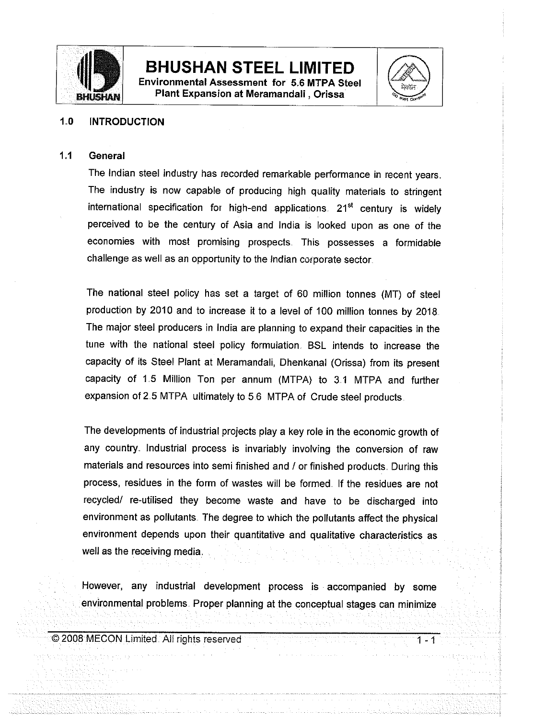

**Environmental Assessment for 5.6 MTPA Steel** Plant Expansion at Meramandali, Orissa



 $1 - 1$ 

### $1.0$ **INTRODUCTION**

#### $1.1$ General

The Indian steel industry has recorded remarkable performance in recent years. The industry is now capable of producing high quality materials to stringent international specification for high-end applications. 21<sup>st</sup> century is widely perceived to be the century of Asia and India is looked upon as one of the economies with most promising prospects. This possesses a formidable challenge as well as an opportunity to the Indian corporate sector.

The national steel policy has set a target of 60 million tonnes (MT) of steel production by 2010 and to increase it to a level of 100 million tonnes by 2018. The major steel producers in India are planning to expand their capacities in the tune with the national steel policy formulation. BSL intends to increase the capacity of its Steel Plant at Meramandali, Dhenkanal (Orissa) from its present capacity of 1.5 Million Ton per annum (MTPA) to 3.1 MTPA and further expansion of 2.5 MTPA ultimately to 5.6 MTPA of Crude steel products.

The developments of industrial projects play a key role in the economic growth of any country. Industrial process is invariably involving the conversion of raw materials and resources into semi finished and / or finished products. During this process, residues in the form of wastes will be formed. If the residues are not recycled/ re-utilised they become waste and have to be discharged into environment as pollutants. The degree to which the pollutants affect the physical environment depends upon their quantitative and qualitative characteristics as well as the receiving media.

However, any industrial development process is accompanied by some environmental problems. Proper planning at the conceptual stages can minimize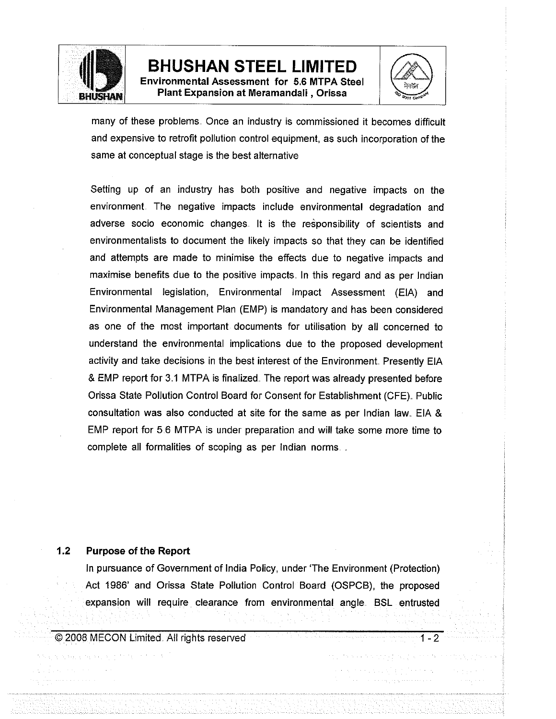

**Environmental Assessment for 5.6 MTPA Steel** Plant Expansion at Meramandali, Orissa



 $1 - 2$ 

many of these problems. Once an industry is commissioned it becomes difficult and expensive to retrofit pollution control equipment, as such incorporation of the same at conceptual stage is the best alternative

Setting up of an industry has both positive and negative impacts on the environment. The negative impacts include environmental degradation and adverse socio economic changes. It is the responsibility of scientists and environmentalists to document the likely impacts so that they can be identified and attempts are made to minimise the effects due to negative impacts and maximise benefits due to the positive impacts. In this regard and as per Indian Environmental legislation, Environmental Impact Assessment (EIA) and Environmental Management Plan (EMP) is mandatory and has been considered as one of the most important documents for utilisation by all concerned to understand the environmental implications due to the proposed development activity and take decisions in the best interest of the Environment. Presently EIA & EMP report for 3.1 MTPA is finalized. The report was already presented before Orissa State Pollution Control Board for Consent for Establishment (CFE). Public consultation was also conducted at site for the same as per Indian law. EIA & EMP report for 5.6 MTPA is under preparation and will take some more time to complete all formalities of scoping as per Indian norms.

#### $1.2$ **Purpose of the Report**

In pursuance of Government of India Policy, under 'The Environment (Protection) Act 1986' and Orissa State Pollution Control Board (OSPCB), the proposed expansion will require clearance from environmental angle. BSL entrusted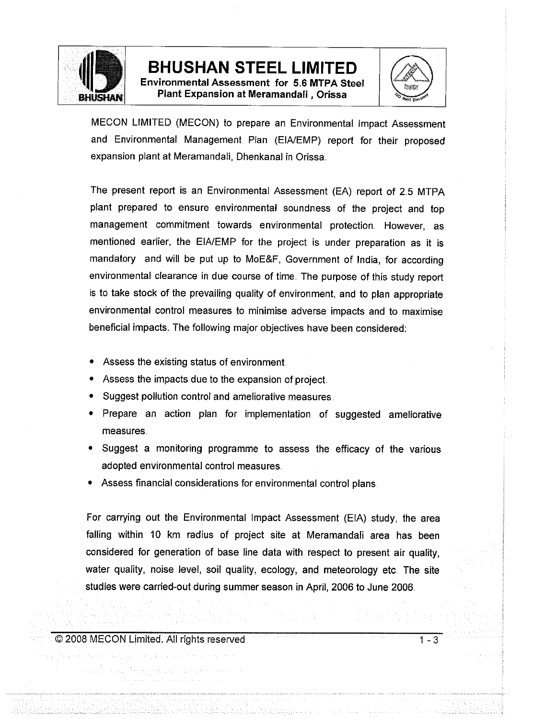

**Environmental Assessment for 5.6 MTPA Steel** Plant Expansion at Meramandali, Orissa



MECON LIMITED (MECON) to prepare an Environmental Impact Assessment and Environmental Management Plan (EIA/EMP) report for their proposed expansion plant at Meramandali, Dhenkanal in Orissa.

The present report is an Environmental Assessment (EA) report of 2.5 MTPA plant prepared to ensure environmental soundness of the project and top management commitment towards environmental protection. However, as mentioned earlier, the EIA/EMP for the project is under preparation as it is mandatory and will be put up to MoE&F, Government of India, for according environmental clearance in due course of time. The purpose of this study report is to take stock of the prevailing quality of environment, and to plan appropriate environmental control measures to minimise adverse impacts and to maximise beneficial impacts. The following major objectives have been considered:

- Assess the existing status of environment
- Assess the impacts due to the expansion of project.
- Suggest pollution control and ameliorative measures.
- Prepare an action plan for implementation of suggested ameliorative measures.
- Suggest a monitoring programme to assess the efficacy of the various adopted environmental control measures.
- Assess financial considerations for environmental control plans.

For carrying out the Environmental Impact Assessment (EIA) study, the area falling within 10 km radius of project site at Meramandali area has been considered for generation of base line data with respect to present air quality. water quality, noise level, soil quality, ecology, and meteorology etc. The site studies were carried-out during summer season in April, 2006 to June 2006.

© 2008 MECON Limited. All rights reserved

 $1 - 3$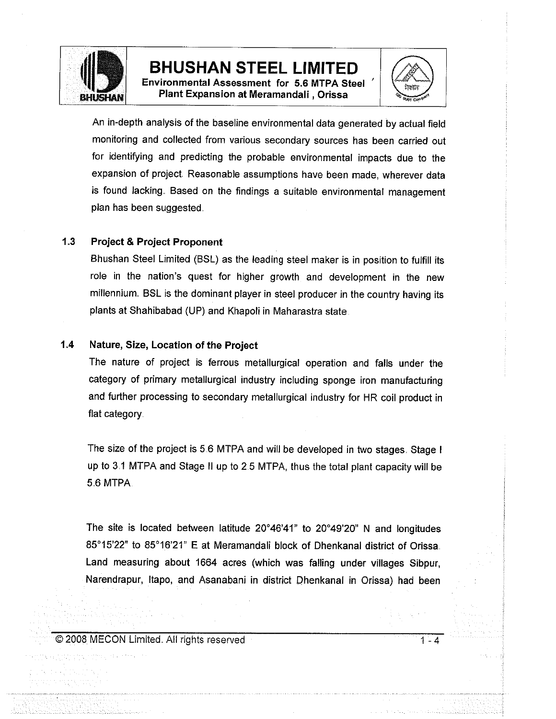

Environmental Assessment for 5.6 MTPA Steel Plant Expansion at Meramandali, Orissa



An in-depth analysis of the baseline environmental data generated by actual field monitoring and collected from various secondary sources has been carried out for identifying and predicting the probable environmental impacts due to the expansion of project. Reasonable assumptions have been made, wherever data is found lacking. Based on the findings a suitable environmental management plan has been suggested.

#### $1.3$ **Project & Project Proponent**

Bhushan Steel Limited (BSL) as the leading steel maker is in position to fulfill its role in the nation's quest for higher growth and development in the new millennium. BSL is the dominant player in steel producer in the country having its plants at Shahibabad (UP) and Khapoli in Maharastra state.

#### $1.4$ Nature, Size, Location of the Project

The nature of project is ferrous metallurgical operation and falls under the category of primary metallurgical industry including sponge iron manufacturing and further processing to secondary metallurgical industry for HR coil product in flat category.

The size of the project is 5.6 MTPA and will be developed in two stages. Stage I up to 3.1 MTPA and Stage II up to 2.5 MTPA, thus the total plant capacity will be 5.6 MTPA.

The site is located between latitude 20°46'41" to 20°49'20" N and longitudes 85°15'22" to 85°16'21" E at Meramandali block of Dhenkanal district of Orissa. Land measuring about 1664 acres (which was falling under villages Sibpur, Narendrapur, Itapo, and Asanabani in district Dhenkanal in Orissa) had been

© 2008 MECON Limited. All rights reserved

 $1 - 4$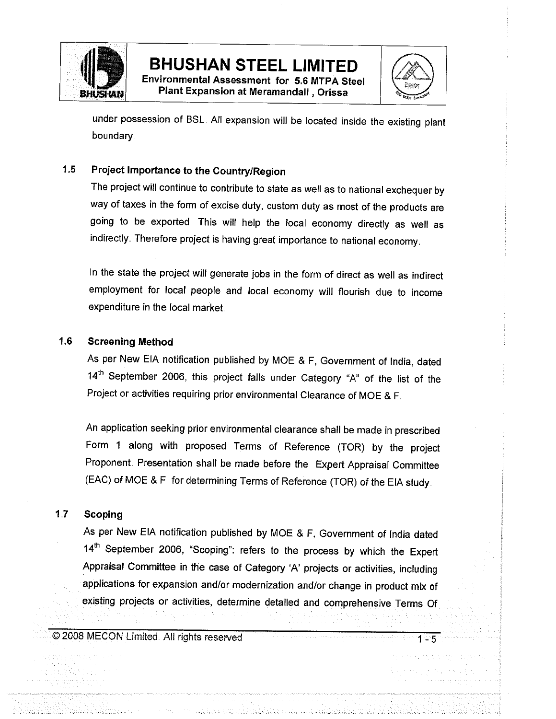

Environmental Assessment for 5.6 MTPA Steel Plant Expansion at Meramandali, Orissa



 $1 - 5$ 

under possession of BSL. All expansion will be located inside the existing plant boundary.

### $1.5$ Project Importance to the Country/Region

The project will continue to contribute to state as well as to national exchequer by way of taxes in the form of excise duty, custom duty as most of the products are going to be exported. This will help the local economy directly as well as indirectly. Therefore project is having great importance to national economy.

In the state the project will generate jobs in the form of direct as well as indirect employment for local people and local economy will flourish due to income expenditure in the local market.

#### $1.6$ **Screening Method**

As per New EIA notification published by MOE & F, Government of India, dated 14<sup>th</sup> September 2006, this project falls under Category "A" of the list of the Project or activities requiring prior environmental Clearance of MOE & F.

An application seeking prior environmental clearance shall be made in prescribed Form 1 along with proposed Terms of Reference (TOR) by the project Proponent. Presentation shall be made before the Expert Appraisal Committee (EAC) of MOE & F for determining Terms of Reference (TOR) of the EIA study.

#### $1.7$ **Scoping**

As per New EIA notification published by MOE & F, Government of India dated 14th September 2006, "Scoping": refers to the process by which the Expert Appraisal Committee in the case of Category 'A' projects or activities, including applications for expansion and/or modernization and/or change in product mix of existing projects or activities, determine detailed and comprehensive Terms Of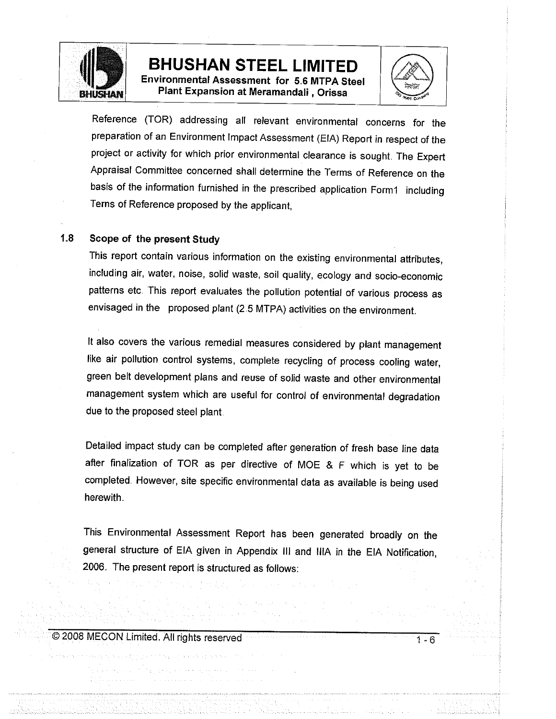

**Environmental Assessment for 5.6 MTPA Steel** Plant Expansion at Meramandali, Orissa



1 - 6

Reference (TOR) addressing all relevant environmental concerns for the preparation of an Environment Impact Assessment (EIA) Report in respect of the project or activity for which prior environmental clearance is sought. The Expert Appraisal Committee concerned shall determine the Terms of Reference on the basis of the information furnished in the prescribed application Form1 including Terns of Reference proposed by the applicant.

#### $1.8$ Scope of the present Study

This report contain various information on the existing environmental attributes, including air, water, noise, solid waste, soil quality, ecology and socio-economic patterns etc. This report evaluates the pollution potential of various process as envisaged in the proposed plant (2.5 MTPA) activities on the environment.

It also covers the various remedial measures considered by plant management like air pollution control systems, complete recycling of process cooling water, green belt development plans and reuse of solid waste and other environmental management system which are useful for control of environmental degradation due to the proposed steel plant.

Detailed impact study can be completed after generation of fresh base line data after finalization of TOR as per directive of MOE & F which is yet to be completed. However, site specific environmental data as available is being used herewith.

This Environmental Assessment Report has been generated broadly on the general structure of EIA given in Appendix III and IIIA in the EIA Notification, 2006. The present report is structured as follows: